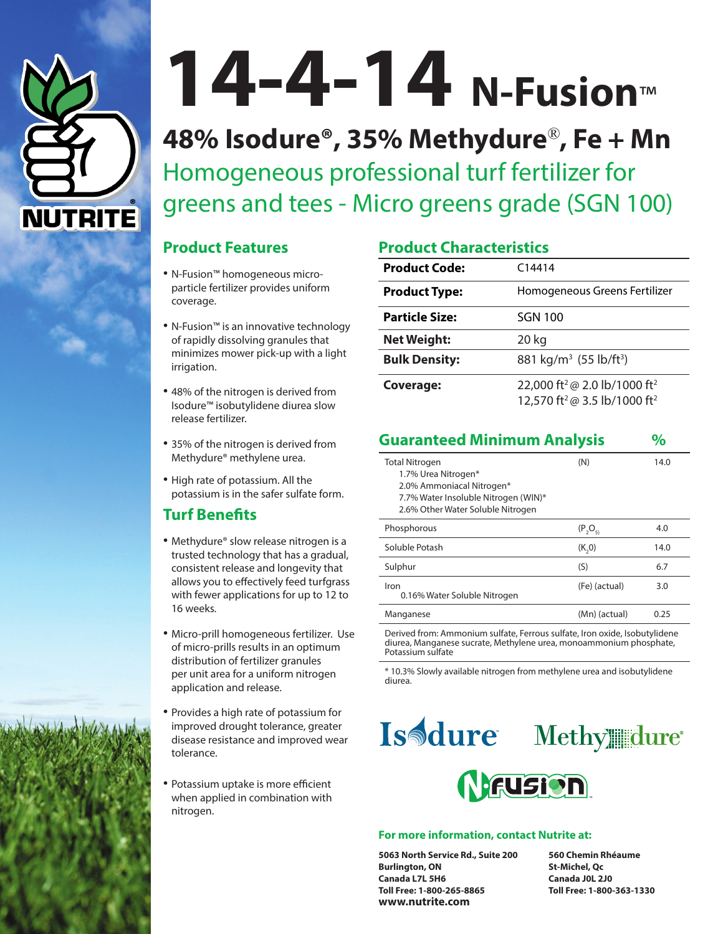

# **14-4-14 N-Fusion**™

**48% Isodure®, 35% Methydure**®**, Fe + Mn** Homogeneous professional turf fertilizer for greens and tees - Micro greens grade (SGN 100)

### **Product Features**

- N-Fusion™ homogeneous microparticle fertilizer provides uniform coverage.
- N-Fusion™ is an innovative technology of rapidly dissolving granules that minimizes mower pick-up with a light irrigation.
- 48% of the nitrogen is derived from Isodure™ isobutylidene diurea slow release fertilizer.
- 35% of the nitrogen is derived from Methydure® methylene urea.
- High rate of potassium. All the potassium is in the safer sulfate form.

### **Turf Benefits**

- Methydure® slow release nitrogen is a trusted technology that has a gradual, consistent release and longevity that allows you to effectively feed turfgrass with fewer applications for up to 12 to 16 weeks.
- Micro-prill homogeneous fertilizer. Use of micro-prills results in an optimum distribution of fertilizer granules per unit area for a uniform nitrogen application and release.
- Provides a high rate of potassium for improved drought tolerance, greater disease resistance and improved wear tolerance.
- Potassium uptake is more efficient when applied in combination with nitrogen.

# **Product Characteristics**

| <b>Product Code:</b>  | C14414                                                                                                       |
|-----------------------|--------------------------------------------------------------------------------------------------------------|
| <b>Product Type:</b>  | Homogeneous Greens Fertilizer                                                                                |
| <b>Particle Size:</b> | <b>SGN 100</b>                                                                                               |
| <b>Net Weight:</b>    | 20 kg                                                                                                        |
| <b>Bulk Density:</b>  | 881 kg/m <sup>3</sup> (55 lb/ft <sup>3</sup> )                                                               |
| Coverage:             | 22,000 ft <sup>2</sup> @ 2.0 lb/1000 ft <sup>2</sup><br>12,570 ft <sup>2</sup> @ 3.5 lb/1000 ft <sup>2</sup> |

| <b>Guaranteed Minimum Analysis</b>                                                                                                                     |               |      |
|--------------------------------------------------------------------------------------------------------------------------------------------------------|---------------|------|
| <b>Total Nitrogen</b><br>1.7% Urea Nitrogen*<br>2.0% Ammoniacal Nitrogen*<br>7.7% Water Insoluble Nitrogen (WIN)*<br>2.6% Other Water Soluble Nitrogen | (N)           | 14.0 |
| Phosphorous                                                                                                                                            | $(P_2O_{51})$ | 4.0  |
| Soluble Potash                                                                                                                                         | (K, 0)        | 14.0 |
| Sulphur                                                                                                                                                | (S)           | 6.7  |
| Iron<br>0.16% Water Soluble Nitrogen                                                                                                                   | (Fe) (actual) | 3.0  |
| Manganese                                                                                                                                              | (Mn) (actual) | 0.25 |
|                                                                                                                                                        |               |      |

Derived from: Ammonium sulfate, Ferrous sulfate, Iron oxide, Isobutylidene diurea, Manganese sucrate, Methylene urea, monoammonium phosphate, Potassium sulfate

\* 10.3% Slowly available nitrogen from methylene urea and isobutylidene diurea.





#### **For more information, contact Nutrite at:**

**5063 North Service Rd., Suite 200 560 Chemin Rhéaume Burlington, ON St-Michel, Qc Canada L7L 5H6 Canada J0L 2J0 Toll Free: 1-800-265-8865 Toll Free: 1-800-363-1330 www.nutrite.com**